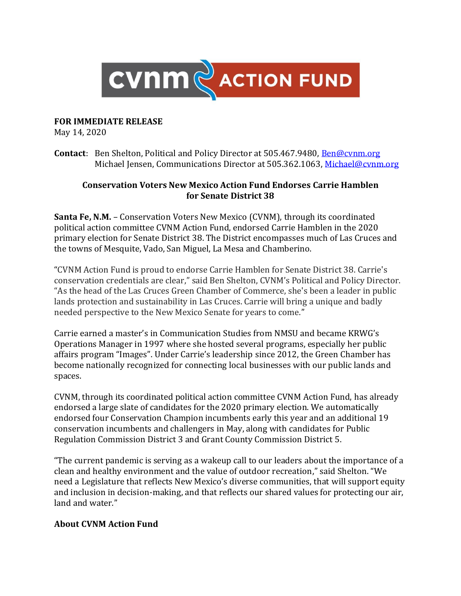

## **FOR IMMEDIATE RELEASE**

May 14, 2020

**Contact**: Ben Shelton, Political and Policy Director at 505.467.9480, [Ben@cvnm.org](mailto:Ben@cvnm.org) Michael Jensen, Communications Director at 505.362.1063, Michael@cynm.org

## **Conservation Voters New Mexico Action Fund Endorses Carrie Hamblen for Senate District 38**

**Santa Fe, N.M.** – Conservation Voters New Mexico (CVNM), through its coordinated political action committee CVNM Action Fund, endorsed Carrie Hamblen in the 2020 primary election for Senate District 38. The District encompasses much of Las Cruces and the towns of Mesquite, Vado, San Miguel, La Mesa and Chamberino.

"CVNM Action Fund is proud to endorse Carrie Hamblen for Senate District 38. Carrie's conservation credentials are clear," said Ben Shelton, CVNM's Political and Policy Director. "As the head of the Las Cruces Green Chamber of Commerce, she's been a leader in public lands protection and sustainability in Las Cruces. Carrie will bring a unique and badly needed perspective to the New Mexico Senate for years to come."

Carrie earned a master's in Communication Studies from NMSU and became KRWG's Operations Manager in 1997 where she hosted several programs, especially her public affairs program "Images". Under Carrie's leadership since 2012, the Green Chamber has become nationally recognized for connecting local businesses with our public lands and spaces.

CVNM, through its coordinated political action committee CVNM Action Fund, has already endorsed a large slate of candidates for the 2020 primary election. We automatically endorsed four Conservation Champion incumbents early this year and an additional 19 conservation incumbents and challengers in May, along with candidates for Public Regulation Commission District 3 and Grant County Commission District 5.

"The current pandemic is serving as a wakeup call to our leaders about the importance of a clean and healthy environment and the value of outdoor recreation," said Shelton. "We need a Legislature that reflects New Mexico's diverse communities, that will support equity and inclusion in decision-making, and that reflects our shared values for protecting our air, land and water."

## **About CVNM Action Fund**